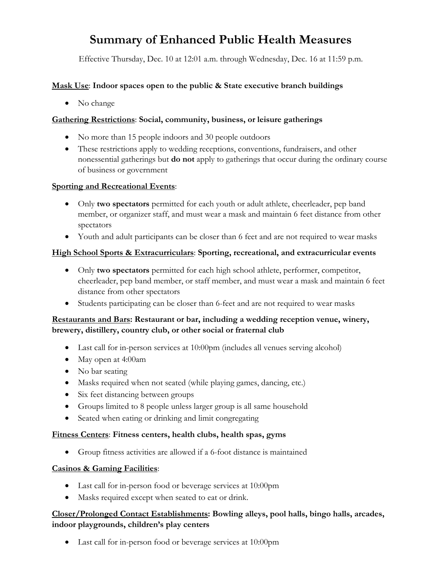# **Summary of Enhanced Public Health Measures**

Effective Thursday, Dec. 10 at 12:01 a.m. through Wednesday, Dec. 16 at 11:59 p.m.

## **Mask Use**: **Indoor spaces open to the public & State executive branch buildings**

• No change

## **Gathering Restrictions**: **Social, community, business, or leisure gatherings**

- No more than 15 people indoors and 30 people outdoors
- These restrictions apply to wedding receptions, conventions, fundraisers, and other nonessential gatherings but **do not** apply to gatherings that occur during the ordinary course of business or government

#### **Sporting and Recreational Events**:

- Only **two spectators** permitted for each youth or adult athlete, cheerleader, pep band member, or organizer staff, and must wear a mask and maintain 6 feet distance from other spectators
- Youth and adult participants can be closer than 6 feet and are not required to wear masks

#### **High School Sports & Extracurriculars**: **Sporting, recreational, and extracurricular events**

- Only **two spectators** permitted for each high school athlete, performer, competitor, cheerleader, pep band member, or staff member, and must wear a mask and maintain 6 feet distance from other spectators
- Students participating can be closer than 6-feet and are not required to wear masks

#### **Restaurants and Bars: Restaurant or bar, including a wedding reception venue, winery, brewery, distillery, country club, or other social or fraternal club**

- Last call for in-person services at 10:00pm (includes all venues serving alcohol)
- May open at 4:00am
- No bar seating
- Masks required when not seated (while playing games, dancing, etc.)
- Six feet distancing between groups
- Groups limited to 8 people unless larger group is all same household
- Seated when eating or drinking and limit congregating

#### **Fitness Centers**: **Fitness centers, health clubs, health spas, gyms**

• Group fitness activities are allowed if a 6-foot distance is maintained

#### **Casinos & Gaming Facilities**:

- Last call for in-person food or beverage services at 10:00pm
- Masks required except when seated to eat or drink.

# **Closer/Prolonged Contact Establishments: Bowling alleys, pool halls, bingo halls, arcades, indoor playgrounds, children's play centers**

• Last call for in-person food or beverage services at 10:00pm